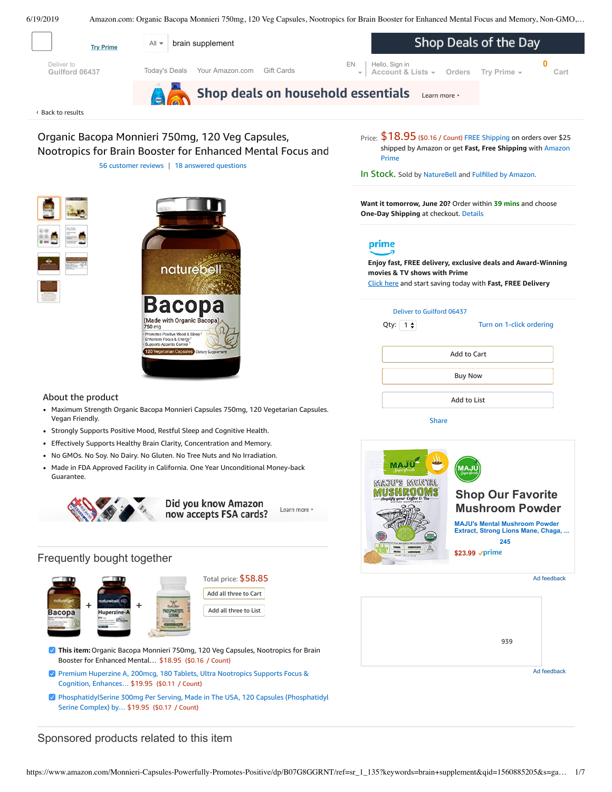<span id="page-0-0"></span>



# Frequently bought together



| Total price: \$58.85  |
|-----------------------|
| Add all three to Cart |
| Add all three to List |

- **This item:**Organic Bacopa Monnieri 750mg, 120 Veg Capsules, Nootropics for Brain Booster for Enhanced Mental… \$18.95 (\$0.16 / Count)
- Premium Huperzine A, 200mcg, 180 Tablets, Ultra Nootropics Supports Focus & Cognition, [Enhances…](https://www.amazon.com/NatureBell-Huperzine-180-Softgels/dp/B07BKSH9GW/ref=pd_bxgy_121_2/143-6729050-3493109?_encoding=UTF8&pd_rd_i=B07BKSH9GW&pd_rd_r=c2c332a6-92bc-11e9-90a4-bfdd2be50711&pd_rd_w=zvcui&pd_rd_wg=Vcxhh&pf_rd_p=a2006322-0bc0-4db9-a08e-d168c18ce6f0&pf_rd_r=6C0S9NV5QDS9FNC4E34R&psc=1&refRID=6C0S9NV5QDS9FNC4E34R) \$19.95 (\$0.11 / Count)
- [PhosphatidylSerine](https://www.amazon.com/PhosphatidylSerine-Phosphatidyl-Double-Wood-Supplements/dp/B079YF1K1B/ref=pd_bxgy_121_3/143-6729050-3493109?_encoding=UTF8&pd_rd_i=B079YF1K1B&pd_rd_r=c2c332a6-92bc-11e9-90a4-bfdd2be50711&pd_rd_w=zvcui&pd_rd_wg=Vcxhh&pf_rd_p=a2006322-0bc0-4db9-a08e-d168c18ce6f0&pf_rd_r=6C0S9NV5QDS9FNC4E34R&psc=1&refRID=6C0S9NV5QDS9FNC4E34R) 300mg Per Serving, Made in The USA, 120 Capsules (Phosphatidyl Serine Complex) by… \$19.95 (\$0.17 / Count)

# Sponsored products related to this item

**\$23.99** √prime

[939](https://www.amazon.com/dp/B002JNK8EY?ref=dacx_dp_6344706920401_6473108030501&me=ATVPDKIKX0DER&aaxitk=8B38iDyxhVQ01tsK4.4J6w)

Ad feedback

Ad feedback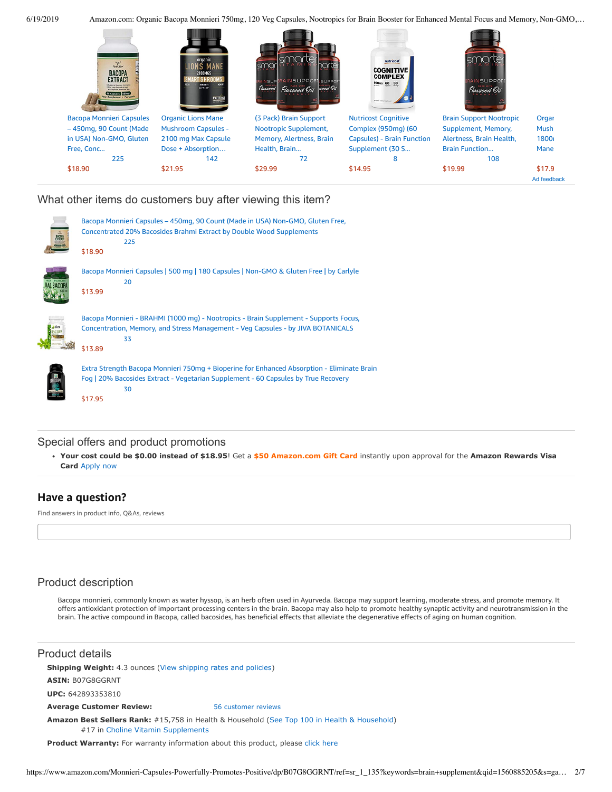6/19/2019 Amazon.com: Organic Bacopa Monnieri 750mg, 120 Veg Capsules, Nootropics for Brain Booster for Enhanced Mental Focus and Memory, Non-GMO,…



### What other items do customers buy after viewing this item?

| <b>EXTRAC</b><br>EXTRAC | Bacopa Monnieri Capsules - 450mg, 90 Count (Made in USA) Non-GMO, Gluten Free,<br><b>Concentrated 20% Bacosides Brahmi Extract by Double Wood Supplements</b><br>225<br>\$18.90                   |
|-------------------------|---------------------------------------------------------------------------------------------------------------------------------------------------------------------------------------------------|
|                         | Bacopa Monnieri Capsules   500 mg   180 Capsules   Non-GMO & Gluten Free   by Carlyle<br>20<br>\$13.99                                                                                            |
|                         | Bacopa Monnieri - BRAHMI (1000 mg) - Nootropics - Brain Supplement - Supports Focus,<br>Concentration, Memory, and Stress Management - Veg Capsules - by JIVA BOTANICALS<br>33<br>\$13.89         |
|                         | Extra Strength Bacopa Monnieri 750mg + Bioperine for Enhanced Absorption - Eliminate Brain<br>Fog   20% Bacosides Extract - Vegetarian Supplement - 60 Capsules by True Recovery<br>30<br>\$17.95 |

### Special offers and product promotions

**[Your cost could be \\$0.00 instead of \\$18.95](https://www.amazon.com/gp/cobrandcard/marketing.html?pr=con321&inc=50gcUnrec&ts=1d6prtn6aydzyu3gqkapqqravctwnew&dasin=B07G8GGRNT&plattr=math&place=detailpage&imp=d0612e36-2cd5-4c9f-a7db-335fce13c9ec)**! Get a **\$50 Amazon.com Gift Card** instantly upon approval for the **Amazon Rewards Visa Card** Apply now

# **Have a question?**

Find answers in product info, Q&As, reviews

# Product description

Bacopa monnieri, commonly known as water hyssop, is an herb often used in Ayurveda. Bacopa may support learning, moderate stress, and promote memory. It offers antioxidant protection of important processing centers in the brain. Bacopa may also help to promote healthy synaptic activity and neurotransmission in the brain. The active compound in Bacopa, called bacosides, has beneficial effects that alleviate the degenerative effects of aging on human cognition.

### Product details

**Shipping Weight:** 4.3 ounces [\(View shipping rates and policies\)](https://www.amazon.com/gp/help/seller/shipping.html/ref=dp_pd_shipping?ie=UTF8&asin=B07G8GGRNT&seller=ATVPDKIKX0DER)

**ASIN:** B07G8GGRNT

**UPC:** 642893353810

**Average Customer Review:** [56 customer reviews](https://www.amazon.com/product-reviews/B07G8GGRNT/ref=acr_dpproductdetail_text?ie=UTF8&showViewpoints=1)

**Amazon Best Sellers Rank:** #15,758 in Health & Household ([See Top 100 in Health & Household\)](https://www.amazon.com/gp/bestsellers/hpc/ref=pd_zg_ts_hpc) #17 in [Choline Vitamin Supplements](https://www.amazon.com/gp/bestsellers/hpc/6939007011/ref=pd_zg_hrsr_hpc)

**Product Warranty:** For warranty information about this product, please [click here](https://www.amazon.com/gp/feature.html/ref=dp_warranty_request_3P?ie=UTF8&docId=1002406021)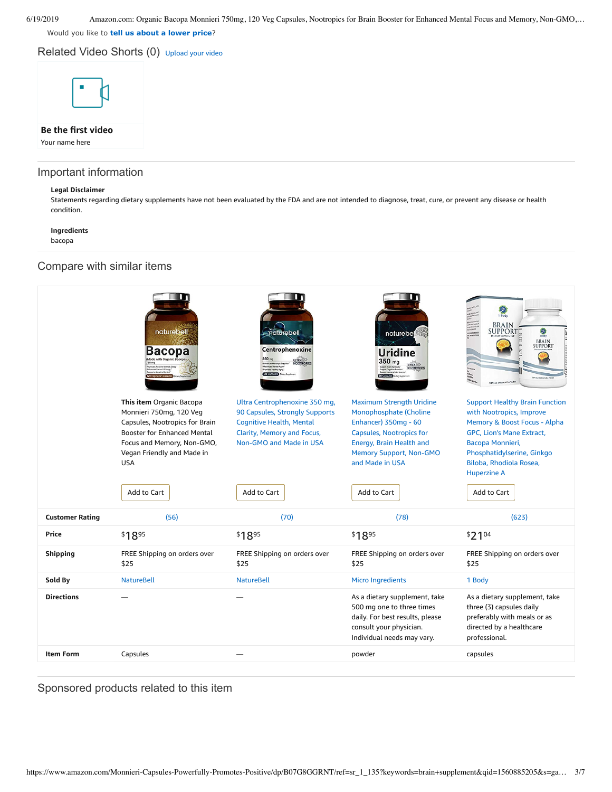Would you like to **tell us about a lower price**?

Related Video Shorts (0) [Upload](https://www.amazon.com/creatorhub/video/upload?productASIN=B07G8GGRNT&referringURL=ZHAvQjA3RzhHR1JOVA%3D%3D&ref=RVSW) your video



# **Be the first video**

Your name here

### Important information

#### **Legal Disclaimer**

Statements regarding dietary supplements have not been evaluated by the FDA and are not intended to diagnose, treat, cure, or prevent any disease or health condition.

#### **Ingredients**

bacopa

### Compare with similar items



# Sponsored products related to this item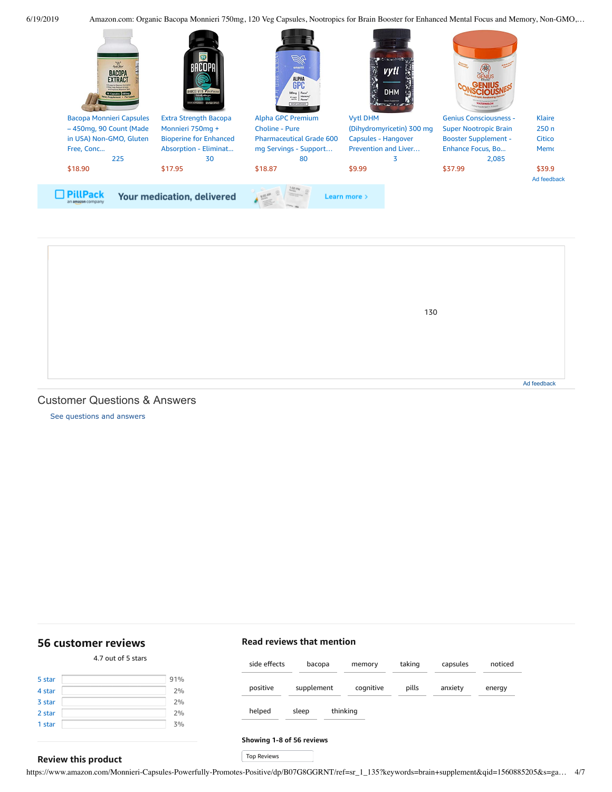



### <span id="page-3-1"></span>Customer Questions & Answers

[See questions and answers](https://www.amazon.com/ask/questions/asin/B07G8GGRNT/ref=cm_cd_dp_lla_ql_ll)

# <span id="page-3-0"></span>**[56 customer](https://www.amazon.com/Monnieri-Capsules-Nootropics-Enhanced-Friendly/product-reviews/B07G8GGRNT/ref=cm_cr_dp_d_show_all_top?ie=UTF8&reviewerType=all_reviews) reviews**

**Review this product**

#### 4.7 out of 5 [stars](javascript:void(0))

| 5 star | 91% |
|--------|-----|
| 4 star | 2%  |
| 3 star | 2%  |
| 2 star | 2%  |
| 1 star | 3%  |
|        |     |

| side effects | bacopa            | memory    | taking | capsules | noticed |
|--------------|-------------------|-----------|--------|----------|---------|
| positive     | supplement        | cognitive | pills  | anxiety  | energy  |
| helped       | thinking<br>sleep |           |        |          |         |

#### **Showing 1-8 of 56 reviews**

**Read reviews that mention**

Top Reviews Top Reviews

https://www.amazon.com/Monnieri-Capsules-Powerfully-Promotes-Positive/dp/B07G8GGRNT/ref=sr\_1\_135?keywords=brain+supplement&qid=1560885205&s=ga… 4/7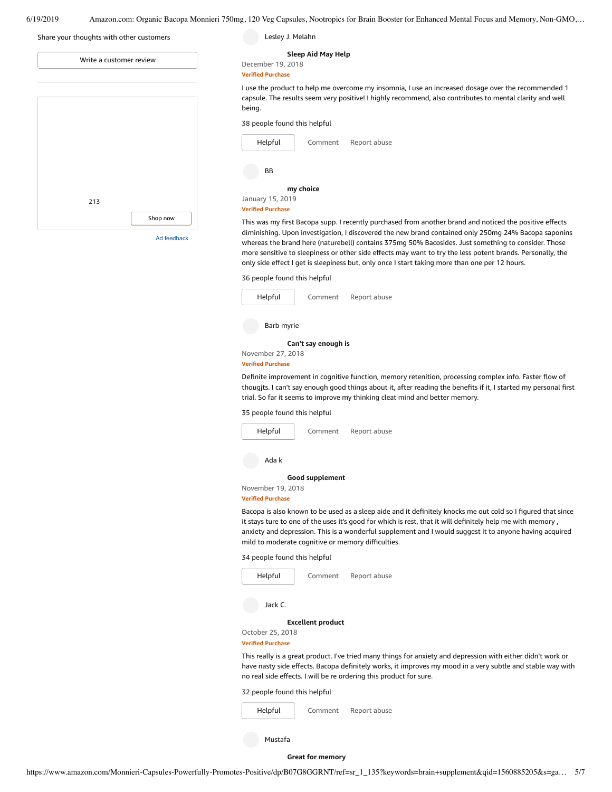| Share your thoughts with other customers | Lesley J. Melahn                                                                                                                                                                                                                                                                                                                                                                                                                                                                                                                       |
|------------------------------------------|----------------------------------------------------------------------------------------------------------------------------------------------------------------------------------------------------------------------------------------------------------------------------------------------------------------------------------------------------------------------------------------------------------------------------------------------------------------------------------------------------------------------------------------|
| Write a customer review                  | Sleep Aid May Help<br>December 19, 2018<br><b>Verified Purchase</b>                                                                                                                                                                                                                                                                                                                                                                                                                                                                    |
|                                          | I use the product to help me overcome my insomnia, I use an increased dosage over the recommended 1<br>capsule. The results seem very positive! I highly recommend, also contributes to mental clarity and well<br>being.                                                                                                                                                                                                                                                                                                              |
|                                          | 38 people found this helpful                                                                                                                                                                                                                                                                                                                                                                                                                                                                                                           |
|                                          | Helpful<br>Report abuse<br>Comment                                                                                                                                                                                                                                                                                                                                                                                                                                                                                                     |
|                                          | <b>BB</b>                                                                                                                                                                                                                                                                                                                                                                                                                                                                                                                              |
|                                          | my choice                                                                                                                                                                                                                                                                                                                                                                                                                                                                                                                              |
| 213                                      | January 15, 2019<br><b>Verified Purchase</b>                                                                                                                                                                                                                                                                                                                                                                                                                                                                                           |
| Shop now<br>Ad feedback                  | This was my first Bacopa supp. I recently purchased from another brand and noticed the positive effects<br>diminishing. Upon investigation, I discovered the new brand contained only 250mg 24% Bacopa saponins<br>whereas the brand here (naturebell) contains 375mg 50% Bacosides. Just something to consider. Those<br>more sensitive to sleepiness or other side effects may want to try the less potent brands. Personally, the<br>only side effect I get is sleepiness but, only once I start taking more than one per 12 hours. |
|                                          | 36 people found this helpful                                                                                                                                                                                                                                                                                                                                                                                                                                                                                                           |

J.

| Helpful                  | Comment             | Report abuse |  |  |  |
|--------------------------|---------------------|--------------|--|--|--|
| Barb myrie               |                     |              |  |  |  |
|                          | Can't say enough is |              |  |  |  |
| November 27, 2018        |                     |              |  |  |  |
| <b>Verified Purchase</b> |                     |              |  |  |  |

Definite improvement in cognitive function, memory retenition, processing complex info. Faster flow of thougjts. I can't say enough good things about it, after reading the benefits if it, I started my personal first trial. So far it seems to improve my thinking cleat mind and better memory.

35 people found this helpful

| Helpful                                            | Comment         | Report abuse |  |  |
|----------------------------------------------------|-----------------|--------------|--|--|
| Ada k                                              |                 |              |  |  |
|                                                    | Good supplement |              |  |  |
| November 19, 2018                                  |                 |              |  |  |
| <b>Verified Purchase</b>                           |                 |              |  |  |
| Bacopa is also known to be used as a sleep aide an |                 |              |  |  |

ad it definitely knocks me out cold so I figured that since it stays ture to one of the uses it's good for which is rest, that it will definitely help me with memory , anxiety and depression. This is a wonderful supplement and I would suggest it to anyone having acquired mild to moderate cognitive or memory difficulties.

34 people found this helpful

| Helpful                  | Comment | Report abuse |  |
|--------------------------|---------|--------------|--|
| Jack C.                  |         |              |  |
| <b>Excellent product</b> |         |              |  |
| October 25, 2018         |         |              |  |

**Verified Purchase**

This really is a great product. I've tried many things for anxiety and depression with either didn't work or have nasty side effects. Bacopa definitely works, it improves my mood in a very subtle and stable way with no real side effects. I will be re ordering this product for sure.

32 people found this helpful

| Helpful<br>Comment | Report abuse |
|--------------------|--------------|
|--------------------|--------------|

Mustafa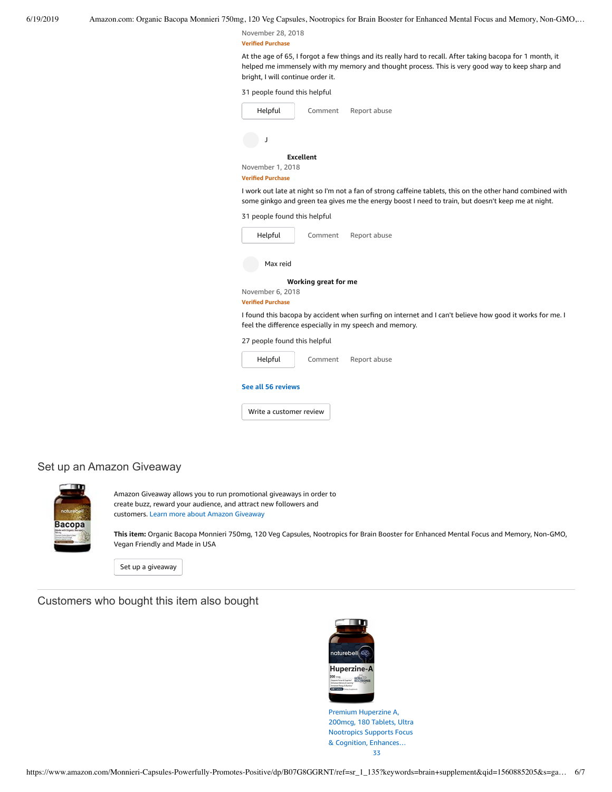November 28, 2018 **Verified Purchase**

At the age of 65, I forgot a few things and its really hard to recall. After taking bacopa for 1 month, it helped me immensely with my memory and thought process. This is very good way to keep sharp and bright, I will continue order it.

| 31 people found this helpful                 |                      |                                                                                                                                                                                                                  |
|----------------------------------------------|----------------------|------------------------------------------------------------------------------------------------------------------------------------------------------------------------------------------------------------------|
| Helpful                                      | Comment              | Report abuse                                                                                                                                                                                                     |
| J                                            |                      |                                                                                                                                                                                                                  |
|                                              | <b>Excellent</b>     |                                                                                                                                                                                                                  |
| November 1, 2018<br><b>Verified Purchase</b> |                      |                                                                                                                                                                                                                  |
|                                              |                      | I work out late at night so I'm not a fan of strong caffeine tablets, this on the other hand combined with<br>some ginkgo and green tea gives me the energy boost I need to train, but doesn't keep me at night. |
| 31 people found this helpful                 |                      |                                                                                                                                                                                                                  |
| Helpful                                      | Comment              | Report abuse                                                                                                                                                                                                     |
| Max reid                                     |                      |                                                                                                                                                                                                                  |
|                                              | Working great for me |                                                                                                                                                                                                                  |
| November 6, 2018<br><b>Verified Purchase</b> |                      |                                                                                                                                                                                                                  |
|                                              |                      | I found this bacopa by accident when surfing on internet and I can't believe how good it works for me. I<br>feel the difference especially in my speech and memory.                                              |
| 27 people found this helpful                 |                      |                                                                                                                                                                                                                  |
| Helpful                                      | Comment              | Report abuse                                                                                                                                                                                                     |
| See all 56 reviews                           |                      |                                                                                                                                                                                                                  |
| Write a customer review                      |                      |                                                                                                                                                                                                                  |

# Set up an Amazon Giveaway



Amazon Giveaway allows you to run promotional giveaways in order to create buzz, reward your audience, and attract new followers and customers. Learn more about Amazon [Giveaway](https://www.amazon.com/gp/giveaway/home?ref=aga_dp_lm)

**This item:** Organic Bacopa Monnieri 750mg, 120 Veg Capsules, Nootropics for Brain Booster for Enhanced Mental Focus and Memory, Non-GMO, Vegan Friendly and Made in USA

Set up a [giveaway](https://www.amazon.com/giveaway/host/setup/ref=aga_h_su_dp?_encoding=UTF8&asin=B07G8GGRNT)

Customers who bought this item also bought



Premium Huperzine A, 200mcg, 180 Tablets, Ultra Nootropics Supports Focus & Cognition, [Enhances…](https://www.amazon.com/NatureBell-Huperzine-180-Softgels/dp/B07BKSH9GW/ref=pd_sim_121_1/143-6729050-3493109?_encoding=UTF8&pd_rd_i=B07BKSH9GW&pd_rd_r=c2c332a6-92bc-11e9-90a4-bfdd2be50711&pd_rd_w=87D1B&pd_rd_wg=Vcxhh&pf_rd_p=90485860-83e9-4fd9-b838-b28a9b7fda30&pf_rd_r=6C0S9NV5QDS9FNC4E34R&psc=1&refRID=6C0S9NV5QDS9FNC4E34R) [33](https://www.amazon.com/product-reviews/B07BKSH9GW/ref=pd_sim_121_cr_1/143-6729050-3493109?ie=UTF8&pd_rd_i=B07BKSH9GW&pd_rd_r=c2c332a6-92bc-11e9-90a4-bfdd2be50711&pd_rd_w=87D1B&pd_rd_wg=Vcxhh&pf_rd_p=90485860-83e9-4fd9-b838-b28a9b7fda30&pf_rd_r=6C0S9NV5QDS9FNC4E34R&refRID=6C0S9NV5QDS9FNC4E34R)